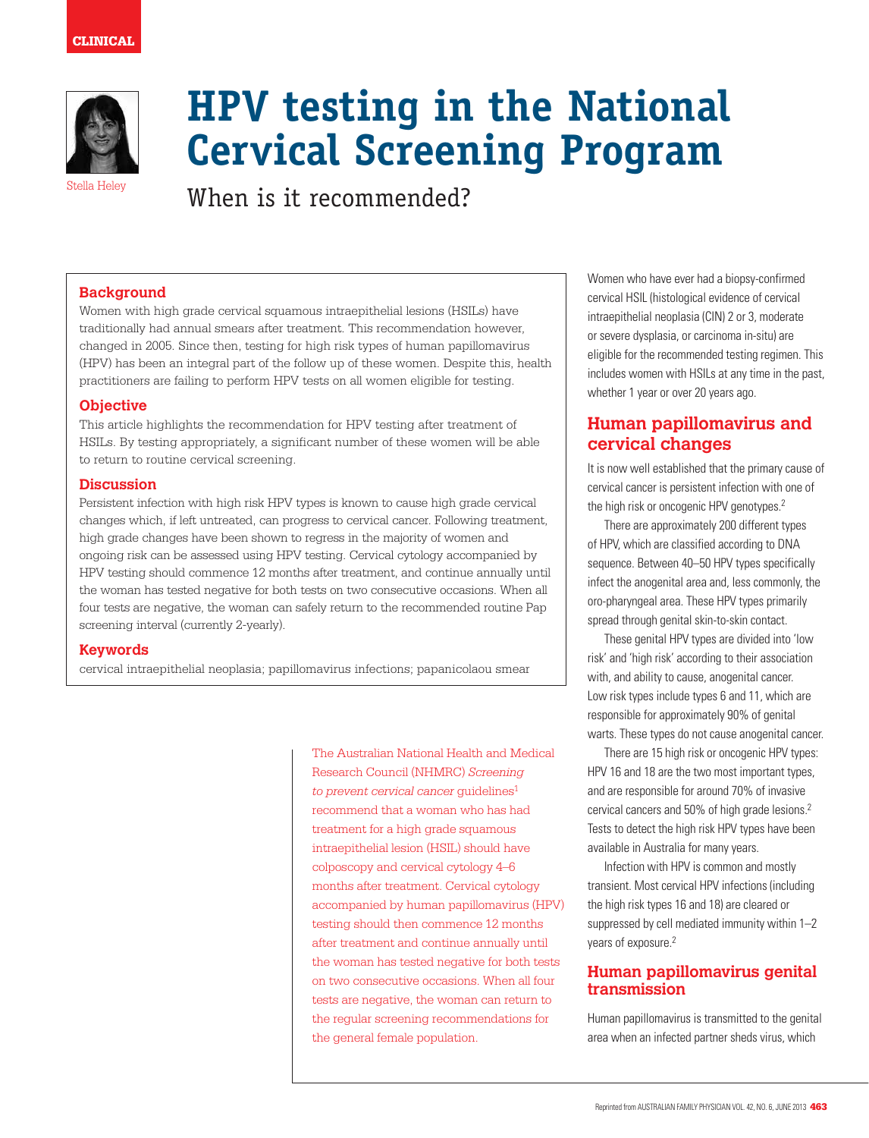

# **HPV testing in the National Cervical Screening Program**

 $S$ tella Heley **When is it recommended?** 

#### **Background**

Women with high grade cervical squamous intraepithelial lesions (HSILs) have traditionally had annual smears after treatment. This recommendation however, changed in 2005. Since then, testing for high risk types of human papillomavirus (HPV) has been an integral part of the follow up of these women. Despite this, health practitioners are failing to perform HPV tests on all women eligible for testing.

#### **Objective**

This article highlights the recommendation for HPV testing after treatment of HSILs. By testing appropriately, a significant number of these women will be able to return to routine cervical screening.

#### **Discussion**

Persistent infection with high risk HPV types is known to cause high grade cervical changes which, if left untreated, can progress to cervical cancer. Following treatment, high grade changes have been shown to regress in the majority of women and ongoing risk can be assessed using HPV testing. Cervical cytology accompanied by HPV testing should commence 12 months after treatment, and continue annually until the woman has tested negative for both tests on two consecutive occasions. When all four tests are negative, the woman can safely return to the recommended routine Pap screening interval (currently 2-yearly).

#### **Keywords**

cervical intraepithelial neoplasia; papillomavirus infections; papanicolaou smear

The Australian National Health and Medical Research Council (NHMRC) *Screening*  to prevent cervical cancer quidelines<sup>1</sup> recommend that a woman who has had treatment for a high grade squamous intraepithelial lesion (HSIL) should have colposcopy and cervical cytology 4–6 months after treatment. Cervical cytology accompanied by human papillomavirus (HPV) testing should then commence 12 months after treatment and continue annually until the woman has tested negative for both tests on two consecutive occasions. When all four tests are negative, the woman can return to the regular screening recommendations for the general female population.

Women who have ever had a biopsy-confirmed cervical HSIL (histological evidence of cervical intraepithelial neoplasia (CIN) 2 or 3, moderate or severe dysplasia, or carcinoma in-situ) are eligible for the recommended testing regimen. This includes women with HSILs at any time in the past, whether 1 year or over 20 years ago.

# **Human papillomavirus and cervical changes**

It is now well established that the primary cause of cervical cancer is persistent infection with one of the high risk or oncogenic HPV genotypes.2

There are approximately 200 different types of HPV, which are classified according to DNA sequence. Between 40–50 HPV types specifically infect the anogenital area and, less commonly, the oro-pharyngeal area. These HPV types primarily spread through genital skin-to-skin contact.

These genital HPV types are divided into 'low risk' and 'high risk' according to their association with, and ability to cause, anogenital cancer. Low risk types include types 6 and 11, which are responsible for approximately 90% of genital warts. These types do not cause anogenital cancer.

There are 15 high risk or oncogenic HPV types: HPV 16 and 18 are the two most important types, and are responsible for around 70% of invasive cervical cancers and 50% of high grade lesions.2 Tests to detect the high risk HPV types have been available in Australia for many years.

Infection with HPV is common and mostly transient. Most cervical HPV infections (including the high risk types 16 and 18) are cleared or suppressed by cell mediated immunity within 1–2 years of exposure.<sup>2</sup>

## **Human papillomavirus genital transmission**

Human papillomavirus is transmitted to the genital area when an infected partner sheds virus, which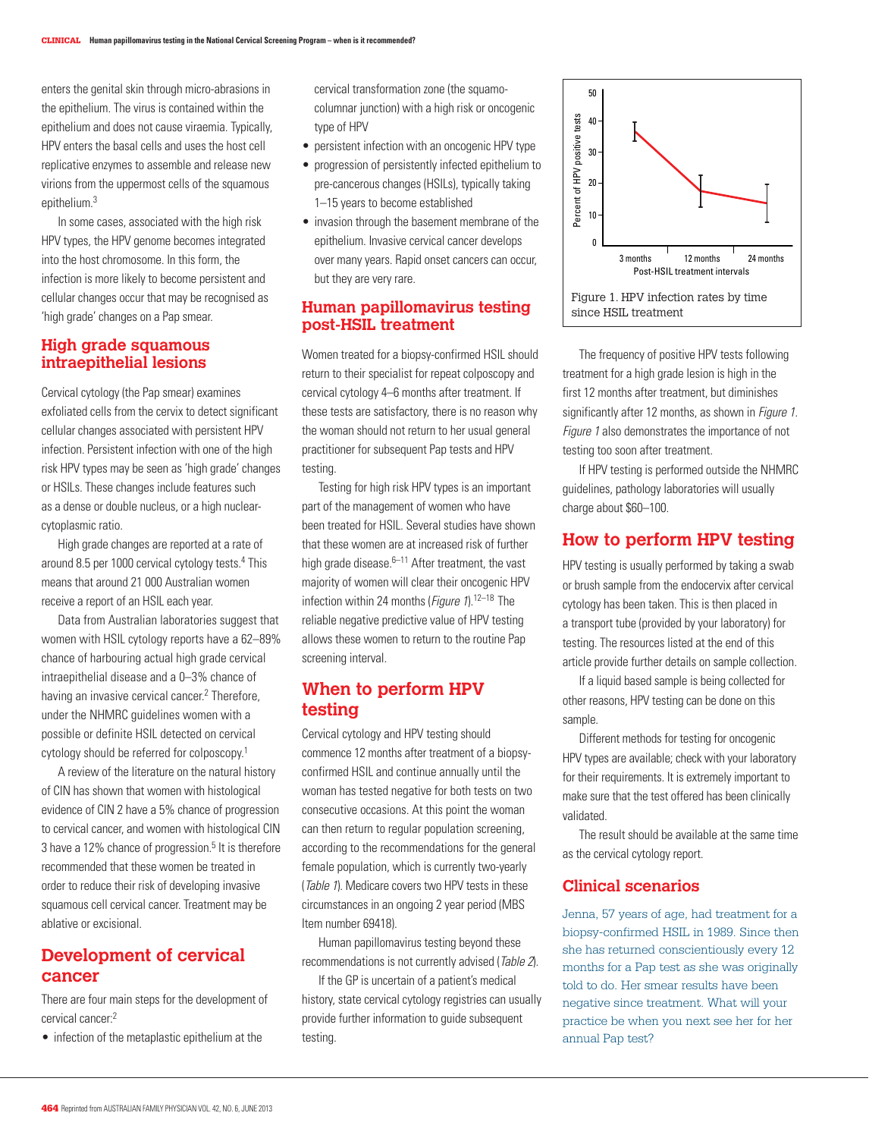enters the genital skin through micro-abrasions in the epithelium. The virus is contained within the epithelium and does not cause viraemia. Typically, HPV enters the basal cells and uses the host cell replicative enzymes to assemble and release new virions from the uppermost cells of the squamous epithelium $3$ 

In some cases, associated with the high risk HPV types, the HPV genome becomes integrated into the host chromosome. In this form, the infection is more likely to become persistent and cellular changes occur that may be recognised as 'high grade' changes on a Pap smear.

#### **High grade squamous intraepithelial lesions**

Cervical cytology (the Pap smear) examines exfoliated cells from the cervix to detect significant cellular changes associated with persistent HPV infection. Persistent infection with one of the high risk HPV types may be seen as 'high grade' changes or HSILs. These changes include features such as a dense or double nucleus, or a high nuclearcytoplasmic ratio.

High grade changes are reported at a rate of around 8.5 per 1000 cervical cytology tests.<sup>4</sup> This means that around 21 000 Australian women receive a report of an HSIL each year.

Data from Australian laboratories suggest that women with HSIL cytology reports have a 62–89% chance of harbouring actual high grade cervical intraepithelial disease and a 0–3% chance of having an invasive cervical cancer.<sup>2</sup> Therefore, under the NHMRC guidelines women with a possible or definite HSIL detected on cervical cytology should be referred for colposcopy.1

A review of the literature on the natural history of CIN has shown that women with histological evidence of CIN 2 have a 5% chance of progression to cervical cancer, and women with histological CIN 3 have a 12% chance of progression.<sup>5</sup> It is therefore recommended that these women be treated in order to reduce their risk of developing invasive squamous cell cervical cancer. Treatment may be ablative or excisional.

# **Development of cervical cancer**

There are four main steps for the development of cervical cancer:2

• infection of the metaplastic epithelium at the

cervical transformation zone (the squamocolumnar junction) with a high risk or oncogenic type of HPV

- persistent infection with an oncogenic HPV type
- progression of persistently infected epithelium to pre-cancerous changes (HSILs), typically taking 1–15 years to become established
- invasion through the basement membrane of the epithelium. Invasive cervical cancer develops over many years. Rapid onset cancers can occur, but they are very rare.

#### **Human papillomavirus testing post-HSIL treatment**

Women treated for a biopsy-confirmed HSIL should return to their specialist for repeat colposcopy and cervical cytology 4–6 months after treatment. If these tests are satisfactory, there is no reason why the woman should not return to her usual general practitioner for subsequent Pap tests and HPV testing.

Testing for high risk HPV types is an important part of the management of women who have been treated for HSIL. Several studies have shown that these women are at increased risk of further high grade disease. $6-11$  After treatment, the vast majority of women will clear their oncogenic HPV infection within 24 months (*Figure 1*).<sup>12–18</sup> The reliable negative predictive value of HPV testing allows these women to return to the routine Pap screening interval.

# **When to perform HPV testing**

Cervical cytology and HPV testing should commence 12 months after treatment of a biopsyconfirmed HSIL and continue annually until the woman has tested negative for both tests on two consecutive occasions. At this point the woman can then return to regular population screening, according to the recommendations for the general female population, which is currently two-yearly (Table 1). Medicare covers two HPV tests in these circumstances in an ongoing 2 year period (MBS Item number 69418).

Human papillomavirus testing beyond these recommendations is not currently advised (Table 2).

If the GP is uncertain of a patient's medical history, state cervical cytology registries can usually provide further information to guide subsequent testing.



The frequency of positive HPV tests following treatment for a high grade lesion is high in the first 12 months after treatment, but diminishes significantly after 12 months, as shown in *Figure 1*. Figure 1 also demonstrates the importance of not testing too soon after treatment.

If HPV testing is performed outside the NHMRC guidelines, pathology laboratories will usually charge about \$60–100.

# **How to perform HPV testing**

HPV testing is usually performed by taking a swab or brush sample from the endocervix after cervical cytology has been taken. This is then placed in a transport tube (provided by your laboratory) for testing. The resources listed at the end of this article provide further details on sample collection.

If a liquid based sample is being collected for other reasons, HPV testing can be done on this sample.

Different methods for testing for oncogenic HPV types are available; check with your laboratory for their requirements. It is extremely important to make sure that the test offered has been clinically validated.

The result should be available at the same time as the cervical cytology report.

# **Clinical scenarios**

Jenna, 57 years of age, had treatment for a biopsy-confirmed HSIL in 1989. Since then she has returned conscientiously every 12 months for a Pap test as she was originally told to do. Her smear results have been negative since treatment. What will your practice be when you next see her for her annual Pap test?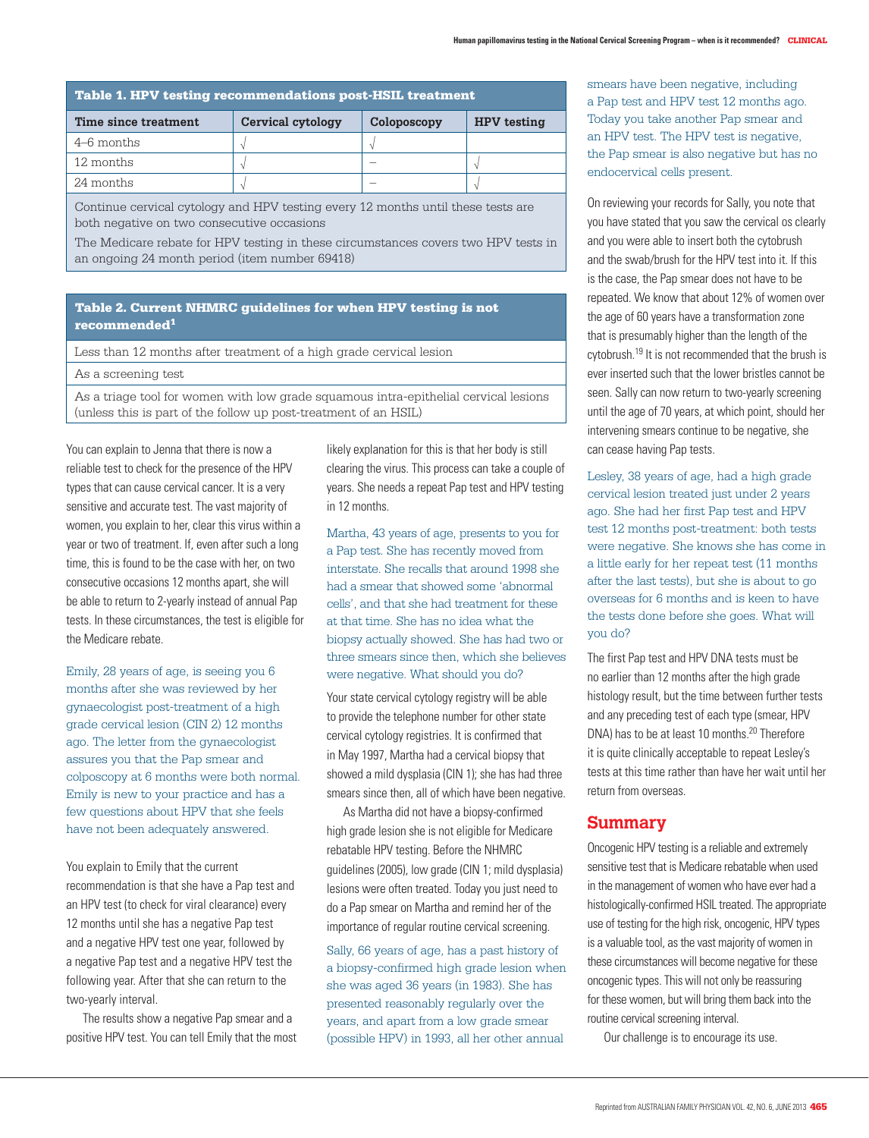| <b>Table 1. HPV testing recommendations post-HSIL treatment</b> |                   |             |                    |
|-----------------------------------------------------------------|-------------------|-------------|--------------------|
| Time since treatment                                            | Cervical cytology | Coloposcopy | <b>HPV</b> testing |
| $4-6$ months                                                    |                   |             |                    |
| 12 months                                                       |                   |             |                    |
| 24 months                                                       |                   |             |                    |

Continue cervical cytology and HPV testing every 12 months until these tests are both negative on two consecutive occasions

The Medicare rebate for HPV testing in these circumstances covers two HPV tests in an ongoing 24 month period (item number 69418)

#### Table 2. Current NHMRC guidelines for when HPV testing is not recommended1

Less than 12 months after treatment of a high grade cervical lesion

As a screening test

As a triage tool for women with low grade squamous intra-epithelial cervical lesions (unless this is part of the follow up post-treatment of an HSIL)

You can explain to Jenna that there is now a reliable test to check for the presence of the HPV types that can cause cervical cancer. It is a very sensitive and accurate test. The vast majority of women, you explain to her, clear this virus within a year or two of treatment. If, even after such a long time, this is found to be the case with her, on two consecutive occasions 12 months apart, she will be able to return to 2-yearly instead of annual Pap tests. In these circumstances, the test is eligible for the Medicare rebate.

Emily, 28 years of age, is seeing you 6 months after she was reviewed by her gynaecologist post-treatment of a high grade cervical lesion (CIN 2) 12 months ago. The letter from the gynaecologist assures you that the Pap smear and colposcopy at 6 months were both normal. Emily is new to your practice and has a few questions about HPV that she feels have not been adequately answered.

You explain to Emily that the current recommendation is that she have a Pap test and an HPV test (to check for viral clearance) every 12 months until she has a negative Pap test and a negative HPV test one year, followed by a negative Pap test and a negative HPV test the following year. After that she can return to the two-yearly interval.

The results show a negative Pap smear and a positive HPV test. You can tell Emily that the most likely explanation for this is that her body is still clearing the virus. This process can take a couple of years. She needs a repeat Pap test and HPV testing in 12 months.

Martha, 43 years of age, presents to you for a Pap test. She has recently moved from interstate. She recalls that around 1998 she had a smear that showed some 'abnormal cells', and that she had treatment for these at that time. She has no idea what the biopsy actually showed. She has had two or three smears since then, which she believes were negative. What should you do?

Your state cervical cytology registry will be able to provide the telephone number for other state cervical cytology registries. It is confirmed that in May 1997, Martha had a cervical biopsy that showed a mild dysplasia (CIN 1); she has had three smears since then, all of which have been negative.

As Martha did not have a biopsy-confirmed high grade lesion she is not eligible for Medicare rebatable HPV testing. Before the NHMRC guidelines (2005), low grade (CIN 1; mild dysplasia) lesions were often treated. Today you just need to do a Pap smear on Martha and remind her of the importance of regular routine cervical screening.

Sally, 66 years of age, has a past history of a biopsy-confirmed high grade lesion when she was aged 36 years (in 1983). She has presented reasonably regularly over the years, and apart from a low grade smear (possible HPV) in 1993, all her other annual

smears have been negative, including a Pap test and HPV test 12 months ago. Today you take another Pap smear and an HPV test. The HPV test is negative, the Pap smear is also negative but has no endocervical cells present.

On reviewing your records for Sally, you note that you have stated that you saw the cervical os clearly and you were able to insert both the cytobrush and the swab/brush for the HPV test into it. If this is the case, the Pap smear does not have to be repeated. We know that about 12% of women over the age of 60 years have a transformation zone that is presumably higher than the length of the cytobrush.19 It is not recommended that the brush is ever inserted such that the lower bristles cannot be seen. Sally can now return to two-yearly screening until the age of 70 years, at which point, should her intervening smears continue to be negative, she can cease having Pap tests.

Lesley, 38 years of age, had a high grade cervical lesion treated just under 2 years ago. She had her first Pap test and HPV test 12 months post-treatment: both tests were negative. She knows she has come in a little early for her repeat test (11 months after the last tests), but she is about to go overseas for 6 months and is keen to have the tests done before she goes. What will you do?

The first Pap test and HPV DNA tests must be no earlier than 12 months after the high grade histology result, but the time between further tests and any preceding test of each type (smear, HPV DNA) has to be at least 10 months.<sup>20</sup> Therefore it is quite clinically acceptable to repeat Lesley's tests at this time rather than have her wait until her return from overseas.

## **Summary**

Oncogenic HPV testing is a reliable and extremely sensitive test that is Medicare rebatable when used in the management of women who have ever had a histologically-confirmed HSIL treated. The appropriate use of testing for the high risk, oncogenic, HPV types is a valuable tool, as the vast majority of women in these circumstances will become negative for these oncogenic types. This will not only be reassuring for these women, but will bring them back into the routine cervical screening interval.

Our challenge is to encourage its use.